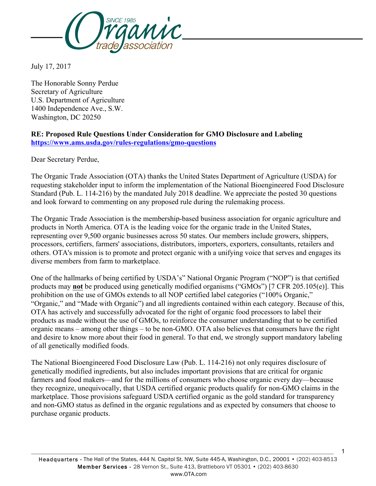

July 17, 2017

The Honorable Sonny Perdue Secretary of Agriculture U.S. Department of Agriculture 1400 Independence Ave., S.W. Washington, DC 20250

#### **RE: Proposed Rule Questions Under Consideration for GMO Disclosure and Labeling https://www.ams.usda.gov/rules-regulations/gmo-questions**

Dear Secretary Perdue,

The Organic Trade Association (OTA) thanks the United States Department of Agriculture (USDA) for requesting stakeholder input to inform the implementation of the National Bioengineered Food Disclosure Standard (Pub. L. 114-216) by the mandated July 2018 deadline. We appreciate the posted 30 questions and look forward to commenting on any proposed rule during the rulemaking process.

The Organic Trade Association is the membership-based business association for organic agriculture and products in North America. OTA is the leading voice for the organic trade in the United States, representing over 9,500 organic businesses across 50 states. Our members include growers, shippers, processors, certifiers, farmers' associations, distributors, importers, exporters, consultants, retailers and others. OTA's mission is to promote and protect organic with a unifying voice that serves and engages its diverse members from farm to marketplace.

One of the hallmarks of being certified by USDA's" National Organic Program ("NOP") is that certified products may **not** be produced using genetically modified organisms ("GMOs") [7 CFR 205.105(e)]. This prohibition on the use of GMOs extends to all NOP certified label categories ("100% Organic," "Organic," and "Made with Organic") and all ingredients contained within each category. Because of this, OTA has actively and successfully advocated for the right of organic food processors to label their products as made without the use of GMOs, to reinforce the consumer understanding that to be certified organic means – among other things – to be non-GMO. OTA also believes that consumers have the right and desire to know more about their food in general. To that end, we strongly support mandatory labeling of all genetically modified foods.

The National Bioengineered Food Disclosure Law (Pub. L. 114-216) not only requires disclosure of genetically modified ingredients, but also includes important provisions that are critical for organic farmers and food makers—and for the millions of consumers who choose organic every day—because they recognize, unequivocally, that USDA certified organic products qualify for non-GMO claims in the marketplace. Those provisions safeguard USDA certified organic as the gold standard for transparency and non-GMO status as defined in the organic regulations and as expected by consumers that choose to purchase organic products.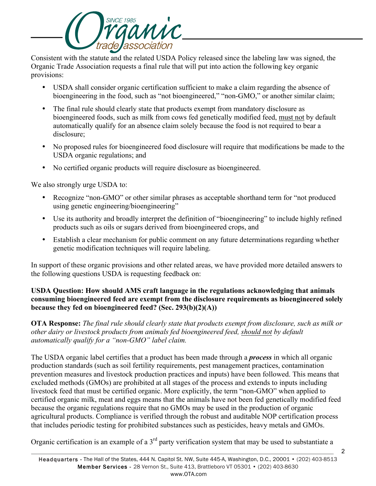

Consistent with the statute and the related USDA Policy released since the labeling law was signed, the Organic Trade Association requests a final rule that will put into action the following key organic provisions:

- USDA shall consider organic certification sufficient to make a claim regarding the absence of bioengineering in the food, such as "not bioengineered," "non-GMO," or another similar claim;
- The final rule should clearly state that products exempt from mandatory disclosure as bioengineered foods, such as milk from cows fed genetically modified feed, must not by default automatically qualify for an absence claim solely because the food is not required to bear a disclosure;
- No proposed rules for bioengineered food disclosure will require that modifications be made to the USDA organic regulations; and
- No certified organic products will require disclosure as bioengineered.

We also strongly urge USDA to:

- Recognize "non-GMO" or other similar phrases as acceptable shorthand term for "not produced" using genetic engineering/bioengineering"
- Use its authority and broadly interpret the definition of "bioengineering" to include highly refined products such as oils or sugars derived from bioengineered crops, and
- Establish a clear mechanism for public comment on any future determinations regarding whether genetic modification techniques will require labeling.

In support of these organic provisions and other related areas, we have provided more detailed answers to the following questions USDA is requesting feedback on:

### **USDA Question: How should AMS craft language in the regulations acknowledging that animals consuming bioengineered feed are exempt from the disclosure requirements as bioengineered solely because they fed on bioengineered feed? (Sec. 293(b)(2)(A))**

**OTA Response:** *The final rule should clearly state that products exempt from disclosure, such as milk or other dairy or livestock products from animals fed bioengineered feed, should not by default automatically qualify for a "non-GMO" label claim.*

The USDA organic label certifies that a product has been made through a *process* in which all organic production standards (such as soil fertility requirements, pest management practices, contamination prevention measures and livestock production practices and inputs) have been followed. This means that excluded methods (GMOs) are prohibited at all stages of the process and extends to inputs including livestock feed that must be certified organic. More explicitly, the term "non-GMO" when applied to certified organic milk, meat and eggs means that the animals have not been fed genetically modified feed because the organic regulations require that no GMOs may be used in the production of organic agricultural products. Compliance is verified through the robust and auditable NOP certification process that includes periodic testing for prohibited substances such as pesticides, heavy metals and GMOs.

Organic certification is an example of a  $3<sup>rd</sup>$  party verification system that may be used to substantiate a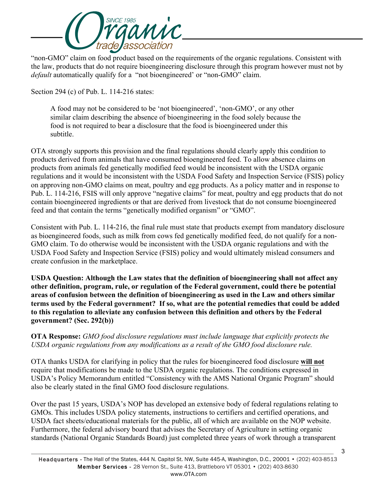

"non-GMO" claim on food product based on the requirements of the organic regulations. Consistent with the law, products that do not require bioengineering disclosure through this program however must not by *default* automatically qualify for a "not bioengineered' or "non-GMO" claim.

Section 294 (c) of Pub. L. 114-216 states:

A food may not be considered to be 'not bioengineered', 'non-GMO', or any other similar claim describing the absence of bioengineering in the food solely because the food is not required to bear a disclosure that the food is bioengineered under this subtitle.

OTA strongly supports this provision and the final regulations should clearly apply this condition to products derived from animals that have consumed bioengineered feed. To allow absence claims on products from animals fed genetically modified feed would be inconsistent with the USDA organic regulations and it would be inconsistent with the USDA Food Safety and Inspection Service (FSIS) policy on approving non-GMO claims on meat, poultry and egg products. As a policy matter and in response to Pub. L. 114-216, FSIS will only approve "negative claims" for meat, poultry and egg products that do not contain bioengineered ingredients or that are derived from livestock that do not consume bioengineered feed and that contain the terms "genetically modified organism" or "GMO".

Consistent with Pub. L. 114-216, the final rule must state that products exempt from mandatory disclosure as bioengineered foods, such as milk from cows fed genetically modified feed, do not qualify for a non-GMO claim. To do otherwise would be inconsistent with the USDA organic regulations and with the USDA Food Safety and Inspection Service (FSIS) policy and would ultimately mislead consumers and create confusion in the marketplace.

**USDA Question: Although the Law states that the definition of bioengineering shall not affect any other definition, program, rule, or regulation of the Federal government, could there be potential areas of confusion between the definition of bioengineering as used in the Law and others similar terms used by the Federal government? If so, what are the potential remedies that could be added to this regulation to alleviate any confusion between this definition and others by the Federal government? (Sec. 292(b))**

#### **OTA Response:** *GMO food disclosure regulations must include language that explicitly protects the USDA organic regulations from any modifications as a result of the GMO food disclosure rule.*

OTA thanks USDA for clarifying in policy that the rules for bioengineered food disclosure **will not** require that modifications be made to the USDA organic regulations. The conditions expressed in USDA's Policy Memorandum entitled "Consistency with the AMS National Organic Program" should also be clearly stated in the final GMO food disclosure regulations.

Over the past 15 years, USDA's NOP has developed an extensive body of federal regulations relating to GMOs. This includes USDA policy statements, instructions to certifiers and certified operations, and USDA fact sheets/educational materials for the public, all of which are available on the NOP website. Furthermore, the federal advisory board that advises the Secretary of Agriculture in setting organic standards (National Organic Standards Board) just completed three years of work through a transparent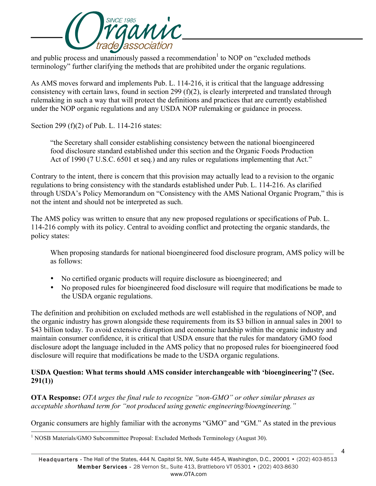

and public process and unanimously passed a recommendation<sup>1</sup> to NOP on "excluded methods" terminology" further clarifying the methods that are prohibited under the organic regulations.

As AMS moves forward and implements Pub. L. 114-216, it is critical that the language addressing consistency with certain laws, found in section 299 (f)(2), is clearly interpreted and translated through rulemaking in such a way that will protect the definitions and practices that are currently established under the NOP organic regulations and any USDA NOP rulemaking or guidance in process.

Section 299 (f)(2) of Pub. L. 114-216 states:

"the Secretary shall consider establishing consistency between the national bioengineered food disclosure standard established under this section and the Organic Foods Production Act of 1990 (7 U.S.C. 6501 et seq.) and any rules or regulations implementing that Act."

Contrary to the intent, there is concern that this provision may actually lead to a revision to the organic regulations to bring consistency with the standards established under Pub. L. 114-216. As clarified through USDA's Policy Memorandum on "Consistency with the AMS National Organic Program," this is not the intent and should not be interpreted as such.

The AMS policy was written to ensure that any new proposed regulations or specifications of Pub. L. 114-216 comply with its policy. Central to avoiding conflict and protecting the organic standards, the policy states:

When proposing standards for national bioengineered food disclosure program, AMS policy will be as follows:

- No certified organic products will require disclosure as bioengineered; and
- No proposed rules for bioengineered food disclosure will require that modifications be made to the USDA organic regulations.

The definition and prohibition on excluded methods are well established in the regulations of NOP, and the organic industry has grown alongside these requirements from its \$3 billion in annual sales in 2001 to \$43 billion today. To avoid extensive disruption and economic hardship within the organic industry and maintain consumer confidence, it is critical that USDA ensure that the rules for mandatory GMO food disclosure adopt the language included in the AMS policy that no proposed rules for bioengineered food disclosure will require that modifications be made to the USDA organic regulations.

### **USDA Question: What terms should AMS consider interchangeable with 'bioengineering'? (Sec. 291(1))**

**OTA Response:** *OTA urges the final rule to recognize "non-GMO" or other similar phrases as acceptable shorthand term for "not produced using genetic engineering/bioengineering."*

Organic consumers are highly familiar with the acronyms "GMO" and "GM." As stated in the previous

<sup>&</sup>lt;sup>1</sup> NOSB Materials/GMO Subcommittee Proposal: Excluded Methods Terminology (August 30).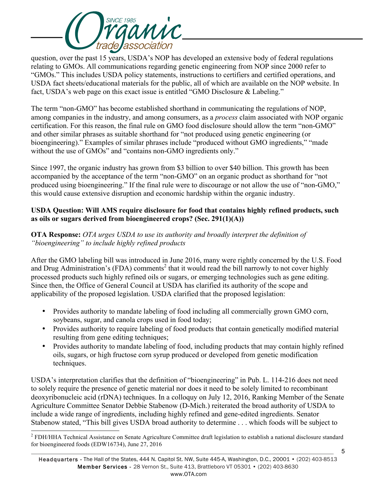

question, over the past 15 years, USDA's NOP has developed an extensive body of federal regulations relating to GMOs. All communications regarding genetic engineering from NOP since 2000 refer to "GMOs." This includes USDA policy statements, instructions to certifiers and certified operations, and USDA fact sheets/educational materials for the public, all of which are available on the NOP website. In fact, USDA's web page on this exact issue is entitled "GMO Disclosure & Labeling."

The term "non-GMO" has become established shorthand in communicating the regulations of NOP, among companies in the industry, and among consumers, as a *process* claim associated with NOP organic certification. For this reason, the final rule on GMO food disclosure should allow the term "non-GMO" and other similar phrases as suitable shorthand for "not produced using genetic engineering (or bioengineering)." Examples of similar phrases include "produced without GMO ingredients," "made without the use of GMOs" and "contains non-GMO ingredients only."

Since 1997, the organic industry has grown from \$3 billion to over \$40 billion. This growth has been accompanied by the acceptance of the term "non-GMO" on an organic product as shorthand for "not produced using bioengineering." If the final rule were to discourage or not allow the use of "non-GMO," this would cause extensive disruption and economic hardship within the organic industry.

# **USDA Question: Will AMS require disclosure for food that contains highly refined products, such as oils or sugars derived from bioengineered crops? (Sec. 291(1)(A))**

# **OTA Response:** *OTA urges USDA to use its authority and broadly interpret the definition of "bioengineering" to include highly refined products*

After the GMO labeling bill was introduced in June 2016, many were rightly concerned by the U.S. Food and Drug Administration's (FDA) comments<sup>2</sup> that it would read the bill narrowly to not cover highly processed products such highly refined oils or sugars, or emerging technologies such as gene editing. Since then, the Office of General Council at USDA has clarified its authority of the scope and applicability of the proposed legislation. USDA clarified that the proposed legislation:

- Provides authority to mandate labeling of food including all commercially grown GMO corn, soybeans, sugar, and canola crops used in food today;
- Provides authority to require labeling of food products that contain genetically modified material resulting from gene editing techniques;
- Provides authority to mandate labeling of food, including products that may contain highly refined oils, sugars, or high fructose corn syrup produced or developed from genetic modification techniques.

USDA's interpretation clarifies that the definition of "bioengineering" in Pub. L. 114-216 does not need to solely require the presence of genetic material nor does it need to be solely limited to recombinant deoxyribonucleic acid (rDNA) techniques. In a colloquy on July 12, 2016, Ranking Member of the Senate Agriculture Committee Senator Debbie Stabenow (D-Mich.) reiterated the broad authority of USDA to include a wide range of ingredients, including highly refined and gene-edited ingredients. Senator Stabenow stated, "This bill gives USDA broad authority to determine . . . which foods will be subject to

 $2$  FDH/HHA Technical Assistance on Senate Agriculture Committee draft legislation to establish a national disclosure standard for bioengineered foods (EDW16734), June 27, 2016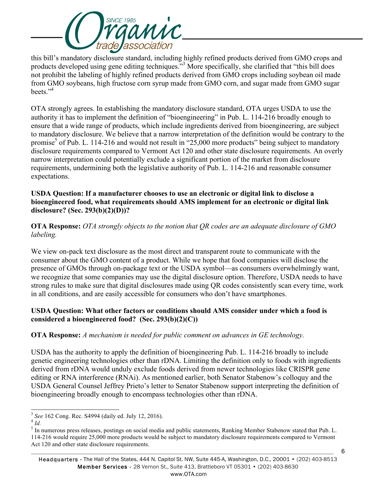

this bill's mandatory disclosure standard, including highly refined products derived from GMO crops and products developed using gene editing techniques."3 More specifically, she clarified that "this bill does not prohibit the labeling of highly refined products derived from GMO crops including soybean oil made from GMO soybeans, high fructose corn syrup made from GMO corn, and sugar made from GMO sugar beets $"^4$ 

OTA strongly agrees. In establishing the mandatory disclosure standard, OTA urges USDA to use the authority it has to implement the definition of "bioengineering" in Pub. L. 114-216 broadly enough to ensure that a wide range of products, which include ingredients derived from bioengineering, are subject to mandatory disclosure. We believe that a narrow interpretation of the definition would be contrary to the promise<sup>5</sup> of Pub. L. 114-216 and would not result in "25,000 more products" being subject to mandatory disclosure requirements compared to Vermont Act 120 and other state disclosure requirements. An overly narrow interpretation could potentially exclude a significant portion of the market from disclosure requirements, undermining both the legislative authority of Pub. L. 114-216 and reasonable consumer expectations.

#### **USDA Question: If a manufacturer chooses to use an electronic or digital link to disclose a bioengineered food, what requirements should AMS implement for an electronic or digital link disclosure? (Sec. 293(b)(2)(D))?**

**OTA Response:** *OTA strongly objects to the notion that QR codes are an adequate disclosure of GMO labeling.*

We view on-pack text disclosure as the most direct and transparent route to communicate with the consumer about the GMO content of a product. While we hope that food companies will disclose the presence of GMOs through on-package text or the USDA symbol—as consumers overwhelmingly want, we recognize that some companies may use the digital disclosure option. Therefore, USDA needs to have strong rules to make sure that digital disclosures made using QR codes consistently scan every time, work in all conditions, and are easily accessible for consumers who don't have smartphones.

### **USDA Question: What other factors or conditions should AMS consider under which a food is considered a bioengineered food? (Sec. 293(b)(2)(C))**

# **OTA Response:** *A mechanism is needed for public comment on advances in GE technology.*

USDA has the authority to apply the definition of bioengineering Pub. L. 114-216 broadly to include genetic engineering technologies other than rDNA. Limiting the definition only to foods with ingredients derived from rDNA would unduly exclude foods derived from newer technologies like CRISPR gene editing or RNA interference (RNAi). As mentioned earlier, both Senator Stabenow's colloquy and the USDA General Counsel Jeffrey Prieto's letter to Senator Stabenow support interpreting the definition of bioengineering broadly enough to encompass technologies other than rDNA.

<sup>&</sup>lt;sup>3</sup> See 162 Cong. Rec. S4994 (daily ed. July 12, 2016).<br><sup>4</sup> *Id.*<br><sup>5</sup> In numerous press releases, postings on social media and public statements, Ranking Member Stabenow stated that Pub. L. 114-216 would require 25,000 more products would be subject to mandatory disclosure requirements compared to Vermont Act 120 and other state disclosure requirements.